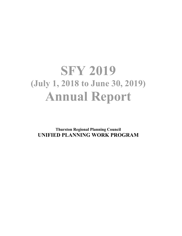# **SFY 2019 (July 1, 2018 to June 30, 2019) Annual Report**

**Thurston Regional Planning Council UNIFIED PLANNING WORK PROGRAM**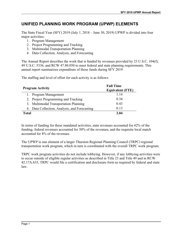## **UNIFIED PLANNING WORK PROGRAM (UPWP) ELEMENTS**

The State Fiscal Year (SFY) 2019 (July 1, 2018 – June 30, 2019) UPWP is divided into four major activities:

- 1. Program Management
- 2. Project Programming and Tracking
- 3. Multimodal Transportation Planning
- 4. Data Collection, Analysis, and Forecasting

The Annual Report describes the work that is funded by revenues provided by 23 U.S.C. 104(f), 49 U.S.C. 5336, and RCW 47.80.050 to meet federal and state planning requirements. This annual report summarizes expenditure of those funds during SFY 2019

The staffing and level of effort for each activity is as follows:

| <b>Program Activity</b>                       | <b>Full Time</b><br><b>Equivalent (FTE)</b> |  |  |
|-----------------------------------------------|---------------------------------------------|--|--|
| 1. Program Management                         | 1.14                                        |  |  |
| 2. Project Programming and Tracking           | 0.34                                        |  |  |
| 3. Multimodal Transportation Planning         | 0.43                                        |  |  |
| 4. Data Collection, Analysis, and Forecasting | 0.13                                        |  |  |
| Total                                         | 2.04                                        |  |  |

In terms of funding for these mandated activities, state revenues accounted for 42% of the funding, federal revenues accounted for 50% of the revenues, and the requisite local match accounted for 8% of the revenues.

The UPWP is one element of a larger Thurston Regional Planning Council (TRPC) regional transportation work program, which in turn is coordinated with the overall TRPC work program.

TRPC work program activities do not include lobbying. However, if any lobbying activities were to occur outside of eligible regular activities as described in Title 23 and Title 49 and in RCW 42.17A.635, TRPC would file a certification and disclosure form as required by federal and state law.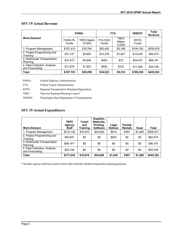## **SFY 19 Actual Revenue**

| <b>Work Element</b>                              | <b>FHWA</b>                    |                             | <b>FTA</b>        |                                | <b>WSDOT</b>         | <b>Total</b><br><b>Revenue</b> |
|--------------------------------------------------|--------------------------------|-----------------------------|-------------------|--------------------------------|----------------------|--------------------------------|
|                                                  | <b>FHWA PL</b><br><b>Funds</b> | <b>TRPC Match</b><br>13.50% | FTA 5303<br>Funds | <b>TRPC</b><br>Match<br>13.50% | <b>RTPO</b><br>Funds |                                |
| 1. Program Management                            | \$107,415                      | \$16,764                    | \$20,430          | \$3,188                        | \$109,182            | \$256,979                      |
| 2. Project Programming and<br>Tracking           | \$31,157                       | \$4,863                     | \$12,478          | \$1,947                        | \$14.029             | \$64,474                       |
| 3. Multimodal Transportation<br>Planning         | \$37,473                       | \$5.848                     | \$460             | \$72                           | \$54,337             | \$98,191                       |
| 4. Data Collection, Analysis,<br>and Forecasting | \$11,678                       | \$1,823                     | \$655             | \$102                          | \$11,490             | \$25,748                       |
| <b>Total</b>                                     | \$187,723                      | \$29,298                    | \$34,023          | \$5,310                        | \$189,038            | \$445,392                      |

| <b>FHWA</b>  | Federal Highway Administration                |
|--------------|-----------------------------------------------|
| <b>FTA</b>   | Federal Transit Administration                |
| <b>RTPO</b>  | Regional Transportation Planning Organization |
| <b>TRPC</b>  | Thurston Regional Planning Council            |
| <b>WSDOT</b> | Washington State Department of Transportation |

## **SFY 19 Actual Expenditures**

| <b>Work Element</b>                              | <b>TRPC</b><br>Agency<br><b>Staff</b> | <b>Travel</b><br>and<br><b>Training</b> | Supplies,<br>Materials.<br>Printing,<br><b>Software</b> | Legal<br><b>Notices</b> | <b>Facility</b><br><b>Rentals</b> | <b>Dues</b> | <b>Total</b> |
|--------------------------------------------------|---------------------------------------|-----------------------------------------|---------------------------------------------------------|-------------------------|-----------------------------------|-------------|--------------|
| 1. Program Management                            | \$219,136                             | \$10,916                                | \$24,649                                                | \$819                   | \$397                             | \$1,060     | \$256,977    |
| 2. Project Programming and<br>Tracking           | \$63,641                              | \$0                                     | \$0                                                     | \$833                   | \$0                               | \$0         | \$64,474     |
| 3. Multimodal Transportation<br>Planning         | \$98.191*                             | \$0                                     | \$0                                                     | \$0                     | \$0                               | \$0         | \$98,191     |
| 4. Data Collection, Analysis,<br>and Forecasting | \$25,748                              | \$0                                     | \$0                                                     | \$0                     | \$0                               | \$0         | \$25,748     |
| <b>Total</b>                                     | \$377,042                             | \$10,916                                | \$24,649                                                | \$1,652                 | \$397                             | \$1,060     | \$445,392    |

\* Includes agency staff time used to match other federally funded transportation planning projects.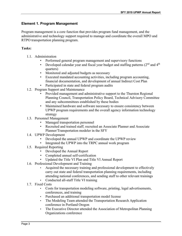### **Element 1. Program Management**

Program management is a core function that provides program fund management, and the administrative and technology support required to manage and coordinate the overall MPO and RTPO transportation planning program.

#### **Tasks:**

- 1.1. Administration
	- Performed general program management and supervisory functions
	- Developed calendar year and fiscal year budget and staffing patterns  $(2<sup>nd</sup>$  and  $4<sup>th</sup>$ quarters)
	- Monitored and adjusted budgets as necessary
	- Executed mandated accounting activities, including program accounting, financial documentation, and development of annual Indirect Cost Plan
	- Participated in state and federal program audits
- 1.2. Program Support and Maintenance
	- Provided management and administrative support to the Thurston Regional Planning Council, Transportation Policy Board, Technical Advisory Committee and any subcommittees established by these bodies
	- Maintained hardware and software necessary to ensure consistency between UPWP program requirements and the overall agency information technology strategy
- 1.3. Personnel Management
	- Managed transportation personnel
	- Recruited and trained staff; recruited an Associate Planner and Associate Planner/Transportation modeler in the SFY
- 1.4. UPWP Development
	- Developed the annual UPWP and coordinate the UPWP review
	- Integrated the UPWP into the TRPC annual work program
- 1.5. Required Reporting
	- Developed the Annual Report
	- Completed annual self-certification
	- Updated the Title VI Plan and Title VI Annual Report
- 1.6. Professional Development and Training
	- Acquired the necessary training and professional development to effectively carry out state and federal transportation planning requirements, including attending national conferences, and sending staff to other relevant trainings
	- Conducted all-staff Title VI training
- 1.7. Fixed Costs
	- Costs for transportation modeling software, printing, legal advertisements, conferences, and training
	- Purchased an additional transportation model license
	- The Modeling Team attended the Transportation Research Application conference in Portland Oregon
	- The Executive Director attended the Association of Metropolitan Planning Organizations conference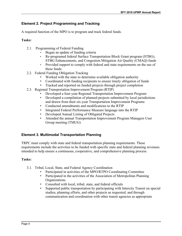## **Element 2. Project Programming and Tracking**

A required function of the MPO is to program and track federal funds.

#### **Tasks:**

- 2.1. Programming of Federal Funding
	- Began an update of funding criteria
	- Re-programed federal Surface Transportation Block Grant program (STBG), STBG Enhancements, and Congestion Mitigation Air Quality (CMAQ) funds
	- Provided support to comply with federal and state requirements on the use of these funds
- 2.2. Federal Funding Obligation Tracking
	- Worked with the state to determine available obligation authority
	- Coordinated with funding recipients to ensure timely obligation of funds
	- Tracked and reported on funded projects through project completion
- 2.3. Regional Transportation Improvement Program (RTIP)
	- Developed a four-year Regional Transportation Improvement Program
	- Developed a compilation of planned projects submitted by local jurisdictions and drawn from their six-year Transportation Improvement Programs
	- Conducted amendments and modifications to the RTIP
	- Integrated Federal Performance Measure language into the RTIP
	- Developed Annual Listing of Obligated Projects
	- Attended the annual Transportation Improvement Program Managers User Group meeting (TMUG)

## **Element 3. Multimodal Transportation Planning**

TRPC must comply with state and federal transportation planning requirements. These requirements include the activities to be funded with specific state and federal planning revenues intended to help ensure a continuous, cooperative, and comprehensive planning process.

#### **Tasks:**

- 3.1. Tribal, Local, State, and Federal Agency Coordination
	- Participated in activities of the MPO/RTPO Coordinating Committee
	- Participated in the activities of the Association of Metropolitan Planning **Organizations**
	- Consulted with local, tribal, state, and federal officials
	- Supported public transportation by participating with Intercity Transit on special studies, planning efforts, and other projects as requested, and through communication and coordination with other transit agencies as appropriate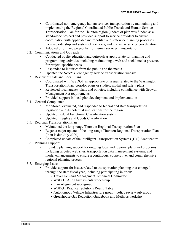- Coordinated non-emergency human services transportation by maintaining and implementing the Regional Coordinated Public Transit and Human Services Transportation Plan for the Thurston region (update of plan was funded as a stand-alone project) and provided support to service providers to ensure coordination with applicable metropolitan and statewide planning processes, increase ridership and system efficiencies, and maximize service coordination.
- Adopted prioritized project list for human services transportation
- 3.2. Communications and Outreach
	- Conducted public education and outreach as appropriate for planning and programming activities, including maintaining a web and social media presence for project-specific needs
	- Responded to inquiries from the public and the media
	- Updated the *HeretoThere* agency service transportation website
- 3.3. Review of State and Local Plans
	- Coordinated with WSDOT as appropriate on issues related to the Washington Transportation Plan, corridor plans or studies, modal and safety plans
	- Reviewed local agency plans and policies, including compliance with Growth Management Act requirements
	- Provided support in local plan development and implementation
- 3.4. General Compliance
	- Monitored, evaluated, and responded to federal and state transportation legislation and its potential implications for the region
	- Updated Federal Functional Classification system
	- Updated Freights and Goods Classification
- 3.5. Regional Transportation Plan
	- Maintained the long-range Thurston Regional Transportation Plan
	- Began a major update of the long-range Thurston Regional Transportation Plan (Plan is due July 2020)
	- Completed update of the Intelligent Transportation Systems (ITS) Architecture
- 3.6. Planning Support
	- Provided planning support for ongoing local and regional plans and programs including targeted web sites, transportation data management systems, and model enhancements to ensure a continuous, cooperative, and comprehensive regional planning process
- 3.7. Emerging Issues
	- Provide support for issues related to transportation planning that emerged through the state fiscal year, including participating in or on:
		- Travel Demand Management Technical Committee
		- WSDOT Align Investments workgroup
		- Plan Alignment workgroup
		- WSDOT Practical Solutions Round Table
		- Autonomous Vehicle Infrastructure group policy review sub-group
		- Greenhouse Gas Reduction Guidebook and Methods worksho